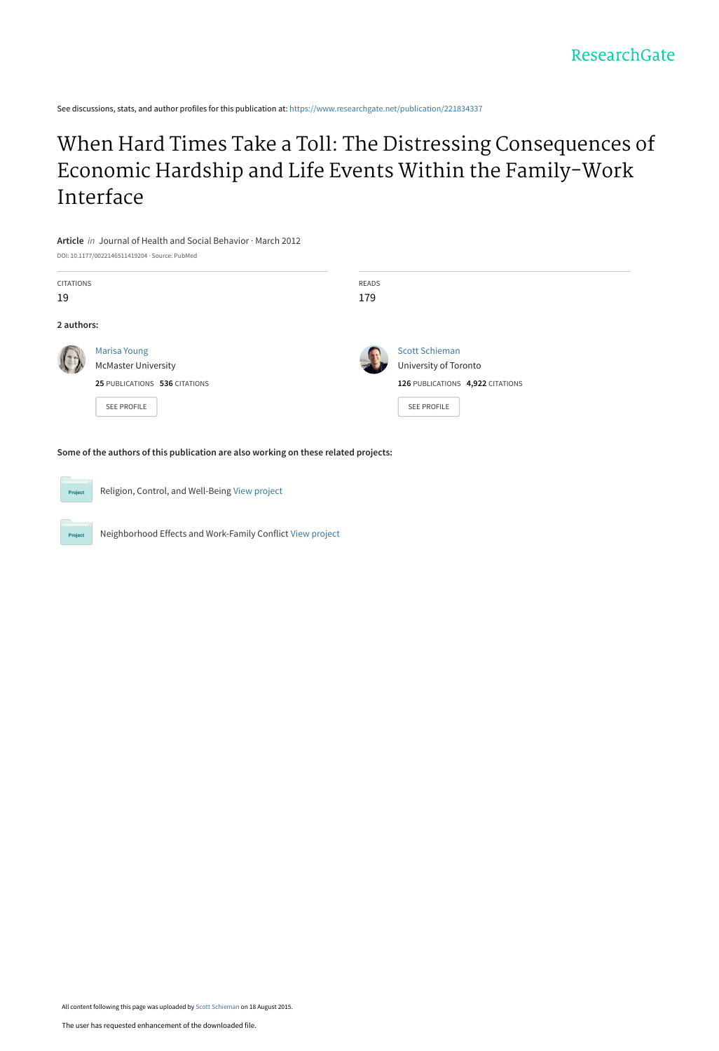See discussions, stats, and author profiles for this publication at: [https://www.researchgate.net/publication/221834337](https://www.researchgate.net/publication/221834337_When_Hard_Times_Take_a_Toll_The_Distressing_Consequences_of_Economic_Hardship_and_Life_Events_Within_the_Family-Work_Interface?enrichId=rgreq-b528ce87697f3854821d1132ba54c23c-XXX&enrichSource=Y292ZXJQYWdlOzIyMTgzNDMzNztBUzoyNjM3ODIwMDE4MDMyNjdAMTQzOTkwMTkzODg2Nw%3D%3D&el=1_x_2&_esc=publicationCoverPdf)

# [When Hard Times Take a Toll: The Distressing Consequences of](https://www.researchgate.net/publication/221834337_When_Hard_Times_Take_a_Toll_The_Distressing_Consequences_of_Economic_Hardship_and_Life_Events_Within_the_Family-Work_Interface?enrichId=rgreq-b528ce87697f3854821d1132ba54c23c-XXX&enrichSource=Y292ZXJQYWdlOzIyMTgzNDMzNztBUzoyNjM3ODIwMDE4MDMyNjdAMTQzOTkwMTkzODg2Nw%3D%3D&el=1_x_3&_esc=publicationCoverPdf) Economic Hardship and Life Events Within the Family-Work Interface

**Article** in Journal of Health and Social Behavior · March 2012

DOI: 10.1177/0022146511419204 · Source: PubMed CITATIONS 19 READS 179 **2 authors:** [Marisa Young](https://www.researchgate.net/profile/Marisa_Young?enrichId=rgreq-b528ce87697f3854821d1132ba54c23c-XXX&enrichSource=Y292ZXJQYWdlOzIyMTgzNDMzNztBUzoyNjM3ODIwMDE4MDMyNjdAMTQzOTkwMTkzODg2Nw%3D%3D&el=1_x_5&_esc=publicationCoverPdf) [McMaster University](https://www.researchgate.net/institution/McMaster_University?enrichId=rgreq-b528ce87697f3854821d1132ba54c23c-XXX&enrichSource=Y292ZXJQYWdlOzIyMTgzNDMzNztBUzoyNjM3ODIwMDE4MDMyNjdAMTQzOTkwMTkzODg2Nw%3D%3D&el=1_x_6&_esc=publicationCoverPdf) **25** PUBLICATIONS **536** CITATIONS [SEE PROFILE](https://www.researchgate.net/profile/Marisa_Young?enrichId=rgreq-b528ce87697f3854821d1132ba54c23c-XXX&enrichSource=Y292ZXJQYWdlOzIyMTgzNDMzNztBUzoyNjM3ODIwMDE4MDMyNjdAMTQzOTkwMTkzODg2Nw%3D%3D&el=1_x_7&_esc=publicationCoverPdf) [Scott Schieman](https://www.researchgate.net/profile/Scott_Schieman?enrichId=rgreq-b528ce87697f3854821d1132ba54c23c-XXX&enrichSource=Y292ZXJQYWdlOzIyMTgzNDMzNztBUzoyNjM3ODIwMDE4MDMyNjdAMTQzOTkwMTkzODg2Nw%3D%3D&el=1_x_5&_esc=publicationCoverPdf) [University of Toronto](https://www.researchgate.net/institution/University_of_Toronto?enrichId=rgreq-b528ce87697f3854821d1132ba54c23c-XXX&enrichSource=Y292ZXJQYWdlOzIyMTgzNDMzNztBUzoyNjM3ODIwMDE4MDMyNjdAMTQzOTkwMTkzODg2Nw%3D%3D&el=1_x_6&_esc=publicationCoverPdf) **126** PUBLICATIONS **4,922** CITATIONS [SEE PROFILE](https://www.researchgate.net/profile/Scott_Schieman?enrichId=rgreq-b528ce87697f3854821d1132ba54c23c-XXX&enrichSource=Y292ZXJQYWdlOzIyMTgzNDMzNztBUzoyNjM3ODIwMDE4MDMyNjdAMTQzOTkwMTkzODg2Nw%3D%3D&el=1_x_7&_esc=publicationCoverPdf)

**Some of the authors of this publication are also working on these related projects:**



Religion, Control, and Well-Being [View project](https://www.researchgate.net/project/Religion-Control-and-Well-Being?enrichId=rgreq-b528ce87697f3854821d1132ba54c23c-XXX&enrichSource=Y292ZXJQYWdlOzIyMTgzNDMzNztBUzoyNjM3ODIwMDE4MDMyNjdAMTQzOTkwMTkzODg2Nw%3D%3D&el=1_x_9&_esc=publicationCoverPdf)

Neighborhood Effects and Work-Family Conflict [View project](https://www.researchgate.net/project/Neighborhood-Effects-and-Work-Family-Conflict?enrichId=rgreq-b528ce87697f3854821d1132ba54c23c-XXX&enrichSource=Y292ZXJQYWdlOzIyMTgzNDMzNztBUzoyNjM3ODIwMDE4MDMyNjdAMTQzOTkwMTkzODg2Nw%3D%3D&el=1_x_9&_esc=publicationCoverPdf)

All content following this page was uploaded by [Scott Schieman](https://www.researchgate.net/profile/Scott_Schieman?enrichId=rgreq-b528ce87697f3854821d1132ba54c23c-XXX&enrichSource=Y292ZXJQYWdlOzIyMTgzNDMzNztBUzoyNjM3ODIwMDE4MDMyNjdAMTQzOTkwMTkzODg2Nw%3D%3D&el=1_x_10&_esc=publicationCoverPdf) on 18 August 2015.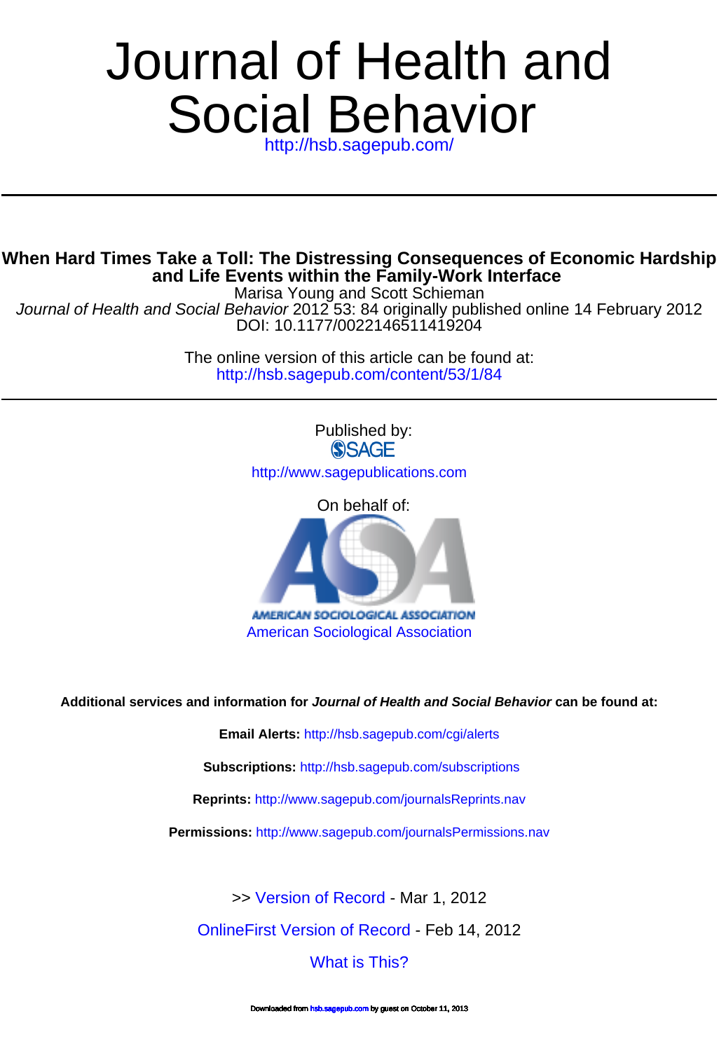# Social Behavior Journal of Health and

<http://hsb.sagepub.com/>

# **and Life Events within the Family-Work Interface When Hard Times Take a Toll: The Distressing Consequences of Economic Hardship**

Marisa Young and Scott Schieman

DOI: 10.1177/0022146511419204 Journal of Health and Social Behavior 2012 53: 84 originally published online 14 February 2012

> <http://hsb.sagepub.com/content/53/1/84> The online version of this article can be found at:



**Additional services and information for Journal of Health and Social Behavior can be found at:**

**Email Alerts:** <http://hsb.sagepub.com/cgi/alerts>

**Subscriptions:** <http://hsb.sagepub.com/subscriptions>

**Reprints:** <http://www.sagepub.com/journalsReprints.nav>

**Permissions:** <http://www.sagepub.com/journalsPermissions.nav>

>> [Version of Record -](http://hsb.sagepub.com/content/53/1/84.full.pdf) Mar 1, 2012

[OnlineFirst Version of Record -](http://hsb.sagepub.com/content/early/2012/02/10/0022146511419204.full.pdf) Feb 14, 2012

[What is This?](http://online.sagepub.com/site/sphelp/vorhelp.xhtml)

aded from [hsb.sagepub.com](http://hsb.sagepub.com/) by guest on October 11, 2013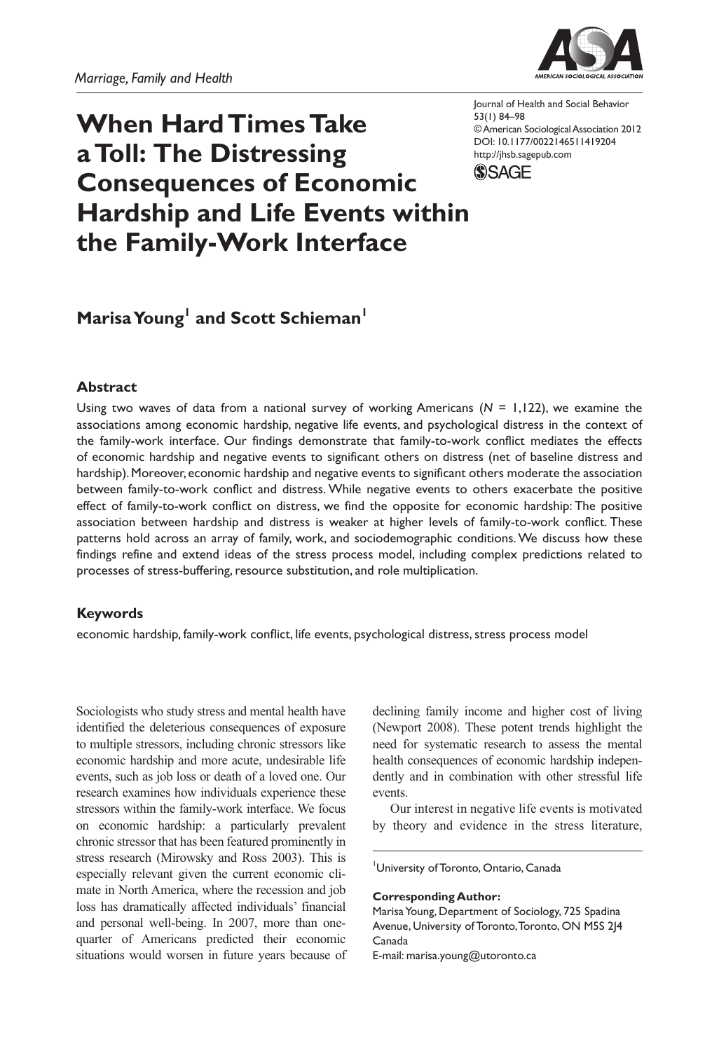

# **When Hard Times Take a Toll: The Distressing Consequences of Economic Hardship and Life Events within the Family-Work Interface**

Journal of Health and Social Behavior 53(1) 84–98 © American Sociological Association 2012 DOI: 10.1177/0022146511419204 http://jhsb.sagepub.com **SSAGE** 

# **Marisa Young**<sup>1</sup> and Scott Schieman<sup>1</sup>

#### **Abstract**

Using two waves of data from a national survey of working Americans (*N* = 1,122), we examine the associations among economic hardship, negative life events, and psychological distress in the context of the family-work interface. Our findings demonstrate that family-to-work conflict mediates the effects of economic hardship and negative events to significant others on distress (net of baseline distress and hardship). Moreover, economic hardship and negative events to significant others moderate the association between family-to-work conflict and distress. While negative events to others exacerbate the positive effect of family-to-work conflict on distress, we find the opposite for economic hardship: The positive association between hardship and distress is weaker at higher levels of family-to-work conflict. These patterns hold across an array of family, work, and sociodemographic conditions. We discuss how these findings refine and extend ideas of the stress process model, including complex predictions related to processes of stress-buffering, resource substitution, and role multiplication.

#### **Keywords**

economic hardship, family-work conflict, life events, psychological distress, stress process model

Sociologists who study stress and mental health have identified the deleterious consequences of exposure to multiple stressors, including chronic stressors like economic hardship and more acute, undesirable life events, such as job loss or death of a loved one. Our research examines how individuals experience these stressors within the family-work interface. We focus on economic hardship: a particularly prevalent chronic stressor that has been featured prominently in stress research (Mirowsky and Ross 2003). This is especially relevant given the current economic climate in North America, where the recession and job loss has dramatically affected individuals' financial and personal well-being. In 2007, more than onequarter of Americans predicted their economic situations would worsen in future years because of declining family income and higher cost of living (Newport 2008). These potent trends highlight the need for systematic research to assess the mental health consequences of economic hardship independently and in combination with other stressful life events.

Our interest in negative life events is motivated by theory and evidence in the stress literature,

1 University of Toronto, Ontario, Canada

**Corresponding Author:**

Marisa Young, Department of Sociology, 725 Spadina Avenue, University of Toronto, Toronto, ON M5S 2J4 Canada

E-mail: marisa.young@utoronto.ca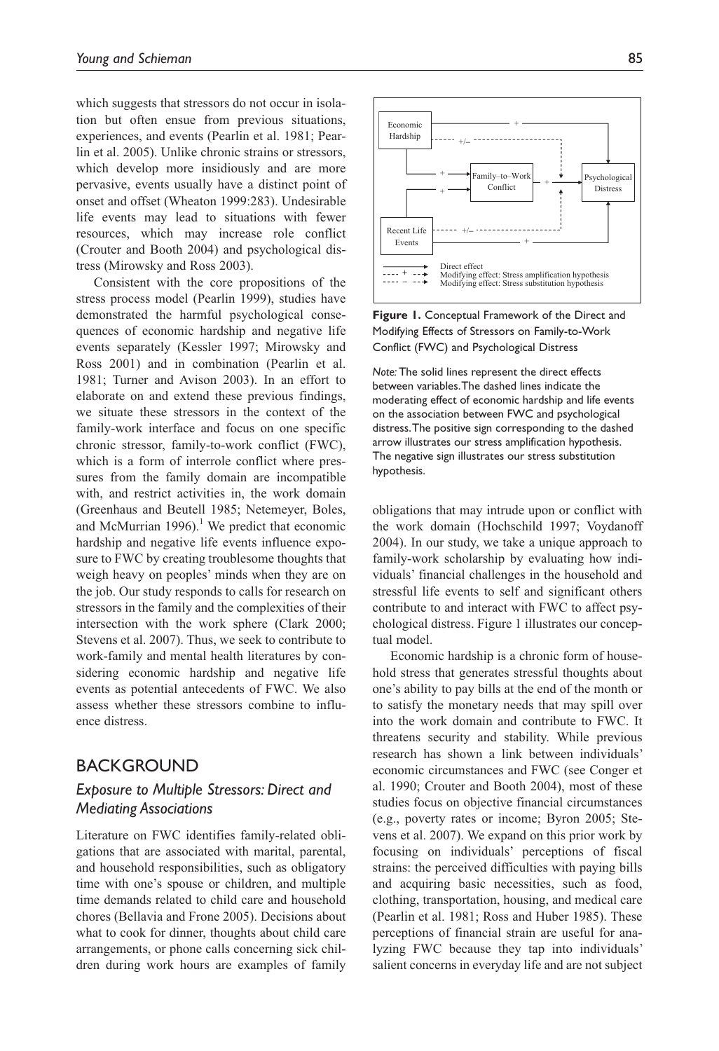which suggests that stressors do not occur in isolation but often ensue from previous situations, experiences, and events (Pearlin et al. 1981; Pearlin et al. 2005). Unlike chronic strains or stressors, which develop more insidiously and are more pervasive, events usually have a distinct point of onset and offset (Wheaton 1999:283). Undesirable life events may lead to situations with fewer resources, which may increase role conflict (Crouter and Booth 2004) and psychological distress (Mirowsky and Ross 2003).

Consistent with the core propositions of the stress process model (Pearlin 1999), studies have demonstrated the harmful psychological consequences of economic hardship and negative life events separately (Kessler 1997; Mirowsky and Ross 2001) and in combination (Pearlin et al. 1981; Turner and Avison 2003). In an effort to elaborate on and extend these previous findings, we situate these stressors in the context of the family-work interface and focus on one specific chronic stressor, family-to-work conflict (FWC), which is a form of interrole conflict where pressures from the family domain are incompatible with, and restrict activities in, the work domain (Greenhaus and Beutell 1985; Netemeyer, Boles, and McMurrian 1996).<sup>1</sup> We predict that economic hardship and negative life events influence exposure to FWC by creating troublesome thoughts that weigh heavy on peoples' minds when they are on the job. Our study responds to calls for research on stressors in the family and the complexities of their intersection with the work sphere (Clark 2000; Stevens et al. 2007). Thus, we seek to contribute to work-family and mental health literatures by considering economic hardship and negative life events as potential antecedents of FWC. We also assess whether these stressors combine to influence distress.

# BACKGROUND

## *Exposure to Multiple Stressors: Direct and Mediating Associations*

Literature on FWC identifies family-related obligations that are associated with marital, parental, and household responsibilities, such as obligatory time with one's spouse or children, and multiple time demands related to child care and household chores (Bellavia and Frone 2005). Decisions about what to cook for dinner, thoughts about child care arrangements, or phone calls concerning sick children during work hours are examples of family



**Figure 1.** Conceptual Framework of the Direct and Modifying Effects of Stressors on Family-to-Work Conflict (FWC) and Psychological Distress

*Note:* The solid lines represent the direct effects between variables. The dashed lines indicate the moderating effect of economic hardship and life events on the association between FWC and psychological distress. The positive sign corresponding to the dashed arrow illustrates our stress amplification hypothesis. The negative sign illustrates our stress substitution hypothesis.

obligations that may intrude upon or conflict with the work domain (Hochschild 1997; Voydanoff 2004). In our study, we take a unique approach to family-work scholarship by evaluating how individuals' financial challenges in the household and stressful life events to self and significant others contribute to and interact with FWC to affect psychological distress. Figure 1 illustrates our conceptual model.

Economic hardship is a chronic form of household stress that generates stressful thoughts about one's ability to pay bills at the end of the month or to satisfy the monetary needs that may spill over into the work domain and contribute to FWC. It threatens security and stability. While previous research has shown a link between individuals' economic circumstances and FWC (see Conger et al. 1990; Crouter and Booth 2004), most of these studies focus on objective financial circumstances (e.g., poverty rates or income; Byron 2005; Stevens et al. 2007). We expand on this prior work by focusing on individuals' perceptions of fiscal strains: the perceived difficulties with paying bills and acquiring basic necessities, such as food, clothing, transportation, housing, and medical care (Pearlin et al. 1981; Ross and Huber 1985). These perceptions of financial strain are useful for analyzing FWC because they tap into individuals' salient concerns in everyday life and are not subject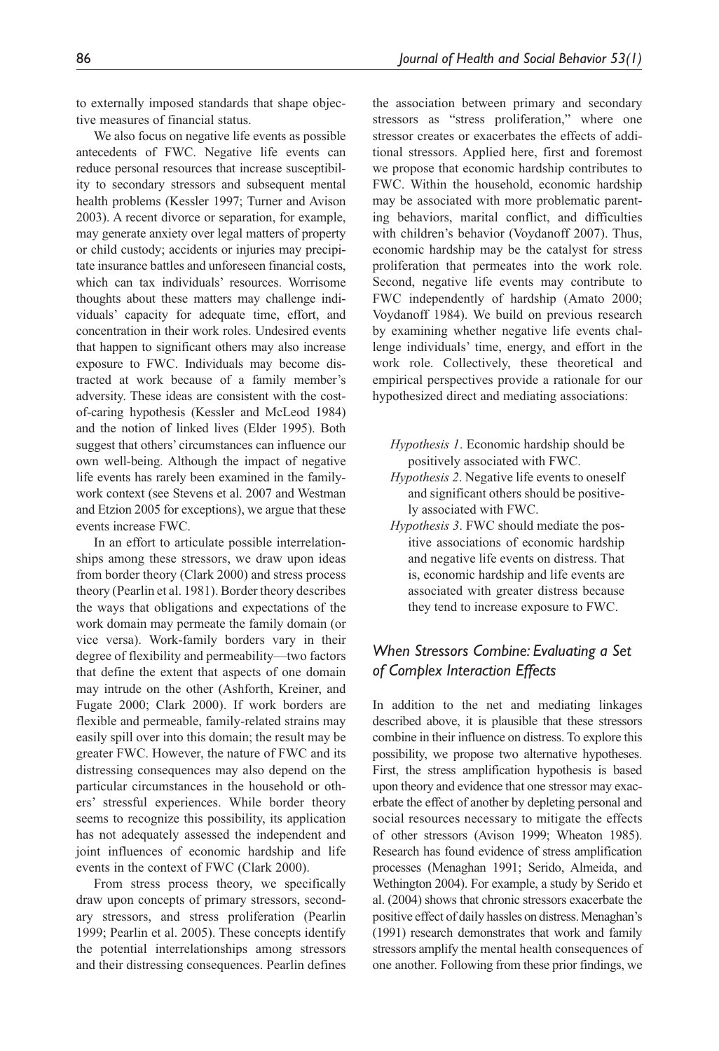to externally imposed standards that shape objective measures of financial status.

We also focus on negative life events as possible antecedents of FWC. Negative life events can reduce personal resources that increase susceptibility to secondary stressors and subsequent mental health problems (Kessler 1997; Turner and Avison 2003). A recent divorce or separation, for example, may generate anxiety over legal matters of property or child custody; accidents or injuries may precipitate insurance battles and unforeseen financial costs, which can tax individuals' resources. Worrisome thoughts about these matters may challenge individuals' capacity for adequate time, effort, and concentration in their work roles. Undesired events that happen to significant others may also increase exposure to FWC. Individuals may become distracted at work because of a family member's adversity. These ideas are consistent with the costof-caring hypothesis (Kessler and McLeod 1984) and the notion of linked lives (Elder 1995). Both suggest that others' circumstances can influence our own well-being. Although the impact of negative life events has rarely been examined in the familywork context (see Stevens et al. 2007 and Westman and Etzion 2005 for exceptions), we argue that these events increase FWC.

In an effort to articulate possible interrelationships among these stressors, we draw upon ideas from border theory (Clark 2000) and stress process theory (Pearlin et al. 1981). Border theory describes the ways that obligations and expectations of the work domain may permeate the family domain (or vice versa). Work-family borders vary in their degree of flexibility and permeability—two factors that define the extent that aspects of one domain may intrude on the other (Ashforth, Kreiner, and Fugate 2000; Clark 2000). If work borders are flexible and permeable, family-related strains may easily spill over into this domain; the result may be greater FWC. However, the nature of FWC and its distressing consequences may also depend on the particular circumstances in the household or others' stressful experiences. While border theory seems to recognize this possibility, its application has not adequately assessed the independent and joint influences of economic hardship and life events in the context of FWC (Clark 2000).

From stress process theory, we specifically draw upon concepts of primary stressors, secondary stressors, and stress proliferation (Pearlin 1999; Pearlin et al. 2005). These concepts identify the potential interrelationships among stressors and their distressing consequences. Pearlin defines the association between primary and secondary stressors as "stress proliferation," where one stressor creates or exacerbates the effects of additional stressors. Applied here, first and foremost we propose that economic hardship contributes to FWC. Within the household, economic hardship may be associated with more problematic parenting behaviors, marital conflict, and difficulties with children's behavior (Voydanoff 2007). Thus, economic hardship may be the catalyst for stress proliferation that permeates into the work role. Second, negative life events may contribute to FWC independently of hardship (Amato 2000; Voydanoff 1984). We build on previous research by examining whether negative life events challenge individuals' time, energy, and effort in the work role. Collectively, these theoretical and empirical perspectives provide a rationale for our hypothesized direct and mediating associations:

- *Hypothesis 1*. Economic hardship should be positively associated with FWC.
- *Hypothesis 2*. Negative life events to oneself and significant others should be positively associated with FWC.
- *Hypothesis 3*. FWC should mediate the positive associations of economic hardship and negative life events on distress. That is, economic hardship and life events are associated with greater distress because they tend to increase exposure to FWC.

## *When Stressors Combine: Evaluating a Set of Complex Interaction Effects*

In addition to the net and mediating linkages described above, it is plausible that these stressors combine in their influence on distress. To explore this possibility, we propose two alternative hypotheses. First, the stress amplification hypothesis is based upon theory and evidence that one stressor may exacerbate the effect of another by depleting personal and social resources necessary to mitigate the effects of other stressors (Avison 1999; Wheaton 1985). Research has found evidence of stress amplification processes (Menaghan 1991; Serido, Almeida, and Wethington 2004). For example, a study by Serido et al. (2004) shows that chronic stressors exacerbate the positive effect of daily hassles on distress. Menaghan's (1991) research demonstrates that work and family stressors amplify the mental health consequences of one another. Following from these prior findings, we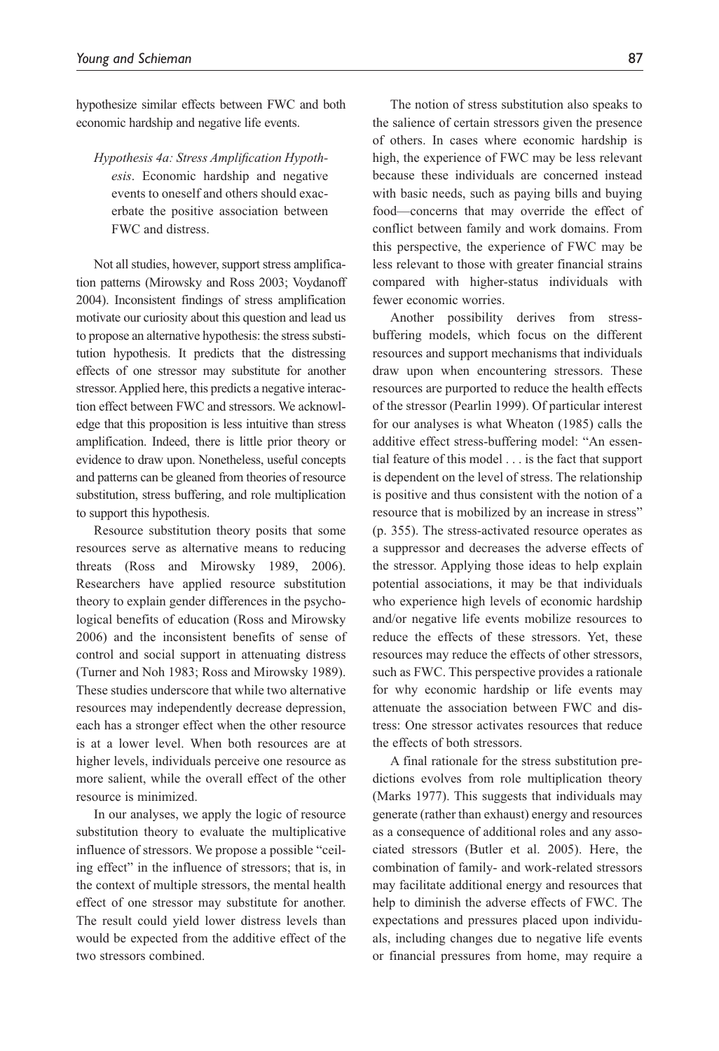hypothesize similar effects between FWC and both economic hardship and negative life events.

*Hypothesis 4a: Stress Amplification Hypothesis*. Economic hardship and negative events to oneself and others should exacerbate the positive association between FWC and distress.

Not all studies, however, support stress amplification patterns (Mirowsky and Ross 2003; Voydanoff 2004). Inconsistent findings of stress amplification motivate our curiosity about this question and lead us to propose an alternative hypothesis: the stress substitution hypothesis. It predicts that the distressing effects of one stressor may substitute for another stressor. Applied here, this predicts a negative interaction effect between FWC and stressors. We acknowledge that this proposition is less intuitive than stress amplification. Indeed, there is little prior theory or evidence to draw upon. Nonetheless, useful concepts and patterns can be gleaned from theories of resource substitution, stress buffering, and role multiplication to support this hypothesis.

Resource substitution theory posits that some resources serve as alternative means to reducing threats (Ross and Mirowsky 1989, 2006). Researchers have applied resource substitution theory to explain gender differences in the psychological benefits of education (Ross and Mirowsky 2006) and the inconsistent benefits of sense of control and social support in attenuating distress (Turner and Noh 1983; Ross and Mirowsky 1989). These studies underscore that while two alternative resources may independently decrease depression, each has a stronger effect when the other resource is at a lower level. When both resources are at higher levels, individuals perceive one resource as more salient, while the overall effect of the other resource is minimized.

In our analyses, we apply the logic of resource substitution theory to evaluate the multiplicative influence of stressors. We propose a possible "ceiling effect" in the influence of stressors; that is, in the context of multiple stressors, the mental health effect of one stressor may substitute for another. The result could yield lower distress levels than would be expected from the additive effect of the two stressors combined.

The notion of stress substitution also speaks to the salience of certain stressors given the presence of others. In cases where economic hardship is high, the experience of FWC may be less relevant because these individuals are concerned instead with basic needs, such as paying bills and buying food—concerns that may override the effect of conflict between family and work domains. From this perspective, the experience of FWC may be less relevant to those with greater financial strains compared with higher-status individuals with fewer economic worries.

Another possibility derives from stressbuffering models, which focus on the different resources and support mechanisms that individuals draw upon when encountering stressors. These resources are purported to reduce the health effects of the stressor (Pearlin 1999). Of particular interest for our analyses is what Wheaton (1985) calls the additive effect stress-buffering model: "An essential feature of this model . . . is the fact that support is dependent on the level of stress. The relationship is positive and thus consistent with the notion of a resource that is mobilized by an increase in stress" (p. 355). The stress-activated resource operates as a suppressor and decreases the adverse effects of the stressor. Applying those ideas to help explain potential associations, it may be that individuals who experience high levels of economic hardship and/or negative life events mobilize resources to reduce the effects of these stressors. Yet, these resources may reduce the effects of other stressors, such as FWC. This perspective provides a rationale for why economic hardship or life events may attenuate the association between FWC and distress: One stressor activates resources that reduce the effects of both stressors.

A final rationale for the stress substitution predictions evolves from role multiplication theory (Marks 1977). This suggests that individuals may generate (rather than exhaust) energy and resources as a consequence of additional roles and any associated stressors (Butler et al. 2005). Here, the combination of family- and work-related stressors may facilitate additional energy and resources that help to diminish the adverse effects of FWC. The expectations and pressures placed upon individuals, including changes due to negative life events or financial pressures from home, may require a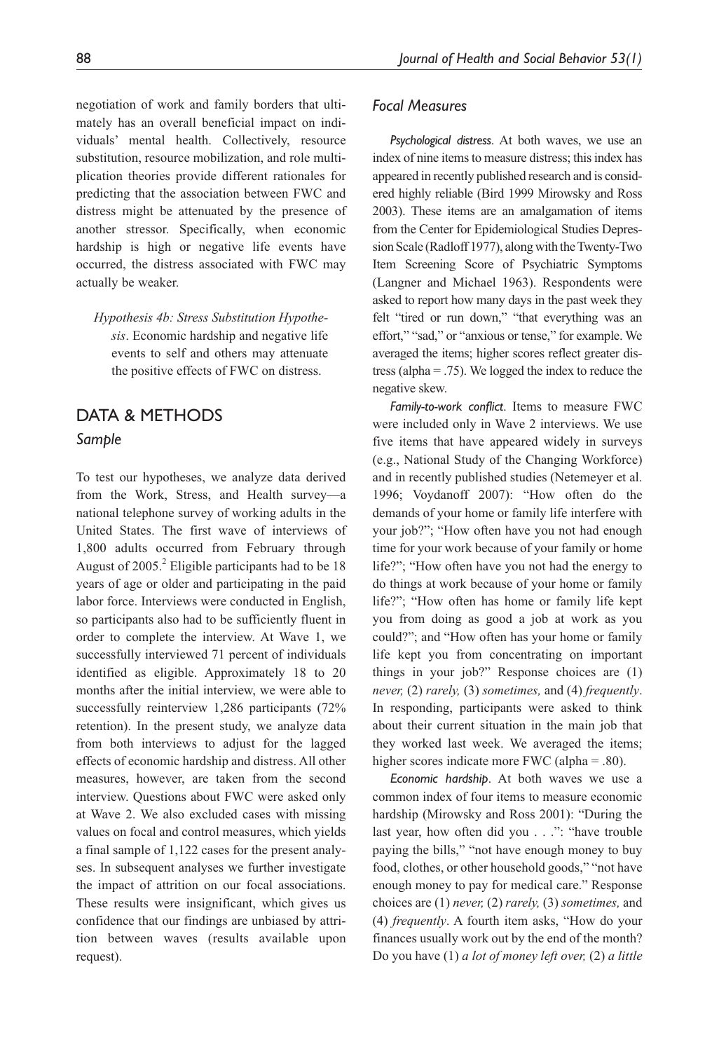negotiation of work and family borders that ultimately has an overall beneficial impact on individuals' mental health. Collectively, resource substitution, resource mobilization, and role multiplication theories provide different rationales for predicting that the association between FWC and distress might be attenuated by the presence of another stressor. Specifically, when economic hardship is high or negative life events have occurred, the distress associated with FWC may actually be weaker.

*Hypothesis 4b: Stress Substitution Hypothesis*. Economic hardship and negative life events to self and others may attenuate the positive effects of FWC on distress.

# DATA & METHODS *Sample*

To test our hypotheses, we analyze data derived from the Work, Stress, and Health survey—a national telephone survey of working adults in the United States. The first wave of interviews of 1,800 adults occurred from February through August of  $2005$ .<sup>2</sup> Eligible participants had to be 18 years of age or older and participating in the paid labor force. Interviews were conducted in English, so participants also had to be sufficiently fluent in order to complete the interview. At Wave 1, we successfully interviewed 71 percent of individuals identified as eligible. Approximately 18 to 20 months after the initial interview, we were able to successfully reinterview 1,286 participants (72% retention). In the present study, we analyze data from both interviews to adjust for the lagged effects of economic hardship and distress. All other measures, however, are taken from the second interview. Questions about FWC were asked only at Wave 2. We also excluded cases with missing values on focal and control measures, which yields a final sample of 1,122 cases for the present analyses. In subsequent analyses we further investigate the impact of attrition on our focal associations. These results were insignificant, which gives us confidence that our findings are unbiased by attrition between waves (results available upon request).

#### *Focal Measures*

*Psychological distress*. At both waves, we use an index of nine items to measure distress; this index has appeared in recently published research and is considered highly reliable (Bird 1999 Mirowsky and Ross 2003). These items are an amalgamation of items from the Center for Epidemiological Studies Depression Scale (Radloff 1977), along with the Twenty-Two Item Screening Score of Psychiatric Symptoms (Langner and Michael 1963). Respondents were asked to report how many days in the past week they felt "tired or run down," "that everything was an effort," "sad," or "anxious or tense," for example. We averaged the items; higher scores reflect greater distress (alpha = .75). We logged the index to reduce the negative skew.

*Family-to-work conflict*. Items to measure FWC were included only in Wave 2 interviews. We use five items that have appeared widely in surveys (e.g., National Study of the Changing Workforce) and in recently published studies (Netemeyer et al. 1996; Voydanoff 2007): "How often do the demands of your home or family life interfere with your job?"; "How often have you not had enough time for your work because of your family or home life?"; "How often have you not had the energy to do things at work because of your home or family life?"; "How often has home or family life kept you from doing as good a job at work as you could?"; and "How often has your home or family life kept you from concentrating on important things in your job?" Response choices are (1) *never,* (2) *rarely,* (3) *sometimes,* and (4) *frequently*. In responding, participants were asked to think about their current situation in the main job that they worked last week. We averaged the items; higher scores indicate more FWC (alpha = .80).

*Economic hardship*. At both waves we use a common index of four items to measure economic hardship (Mirowsky and Ross 2001): "During the last year, how often did you . . .": "have trouble paying the bills," "not have enough money to buy food, clothes, or other household goods," "not have enough money to pay for medical care." Response choices are (1) *never,* (2) *rarely,* (3) *sometimes,* and (4) *frequently*. A fourth item asks, "How do your finances usually work out by the end of the month? Do you have (1) *a lot of money left over,* (2) *a little*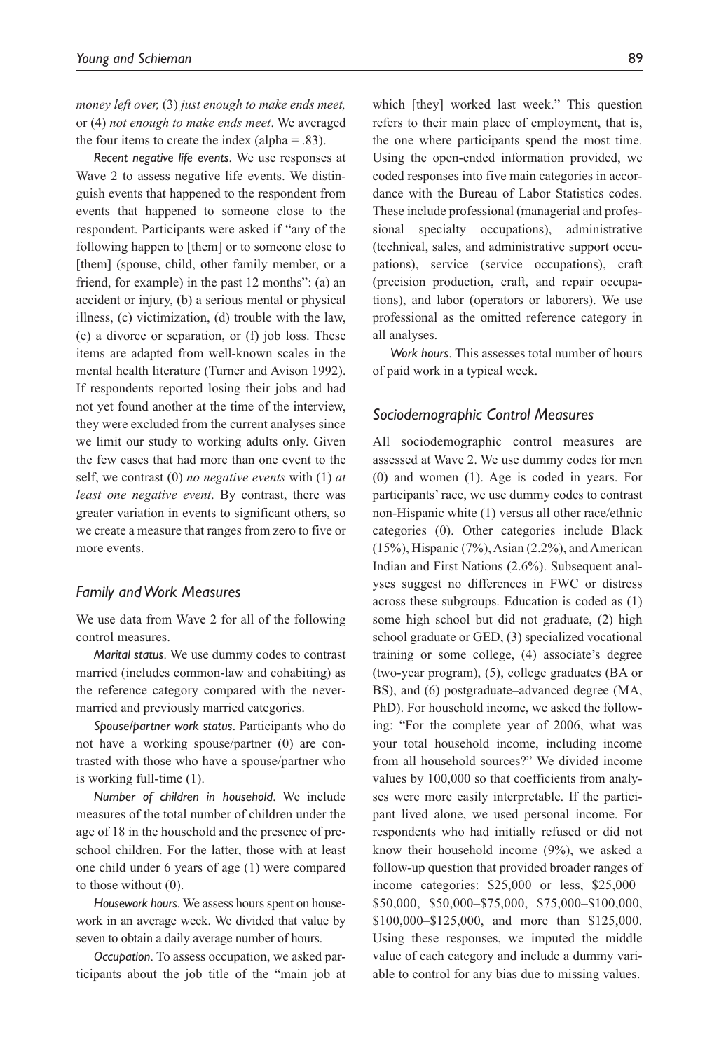*money left over,* (3) *just enough to make ends meet,* or (4) *not enough to make ends meet*. We averaged the four items to create the index (alpha  $=$  .83).

*Recent negative life events*. We use responses at Wave 2 to assess negative life events. We distinguish events that happened to the respondent from events that happened to someone close to the respondent. Participants were asked if "any of the following happen to [them] or to someone close to [them] (spouse, child, other family member, or a friend, for example) in the past 12 months": (a) an accident or injury, (b) a serious mental or physical illness, (c) victimization, (d) trouble with the law, (e) a divorce or separation, or (f) job loss. These items are adapted from well-known scales in the mental health literature (Turner and Avison 1992). If respondents reported losing their jobs and had not yet found another at the time of the interview, they were excluded from the current analyses since we limit our study to working adults only. Given the few cases that had more than one event to the self, we contrast (0) *no negative events* with (1) *at least one negative event*. By contrast, there was greater variation in events to significant others, so we create a measure that ranges from zero to five or more events.

#### *Family and Work Measures*

We use data from Wave 2 for all of the following control measures.

*Marital status*. We use dummy codes to contrast married (includes common-law and cohabiting) as the reference category compared with the nevermarried and previously married categories.

*Spouse/partner work status*. Participants who do not have a working spouse/partner (0) are contrasted with those who have a spouse/partner who is working full-time (1).

*Number of children in household*. We include measures of the total number of children under the age of 18 in the household and the presence of preschool children. For the latter, those with at least one child under 6 years of age (1) were compared to those without (0).

*Housework hours*. We assess hours spent on housework in an average week. We divided that value by seven to obtain a daily average number of hours.

*Occupation*. To assess occupation, we asked participants about the job title of the "main job at which [they] worked last week." This question refers to their main place of employment, that is, the one where participants spend the most time. Using the open-ended information provided, we coded responses into five main categories in accordance with the Bureau of Labor Statistics codes. These include professional (managerial and professional specialty occupations), administrative (technical, sales, and administrative support occupations), service (service occupations), craft (precision production, craft, and repair occupations), and labor (operators or laborers). We use professional as the omitted reference category in all analyses.

*Work hours*. This assesses total number of hours of paid work in a typical week.

#### *Sociodemographic Control Measures*

All sociodemographic control measures are assessed at Wave 2. We use dummy codes for men (0) and women (1). Age is coded in years. For participants' race, we use dummy codes to contrast non-Hispanic white (1) versus all other race/ethnic categories (0). Other categories include Black  $(15\%)$ , Hispanic  $(7\%)$ , Asian  $(2.2\%)$ , and American Indian and First Nations (2.6%). Subsequent analyses suggest no differences in FWC or distress across these subgroups. Education is coded as (1) some high school but did not graduate, (2) high school graduate or GED, (3) specialized vocational training or some college, (4) associate's degree (two-year program), (5), college graduates (BA or BS), and (6) postgraduate–advanced degree (MA, PhD). For household income, we asked the following: "For the complete year of 2006, what was your total household income, including income from all household sources?" We divided income values by 100,000 so that coefficients from analyses were more easily interpretable. If the participant lived alone, we used personal income. For respondents who had initially refused or did not know their household income (9%), we asked a follow-up question that provided broader ranges of income categories: \$25,000 or less, \$25,000– \$50,000, \$50,000–\$75,000, \$75,000–\$100,000, \$100,000–\$125,000, and more than \$125,000. Using these responses, we imputed the middle value of each category and include a dummy variable to control for any bias due to missing values.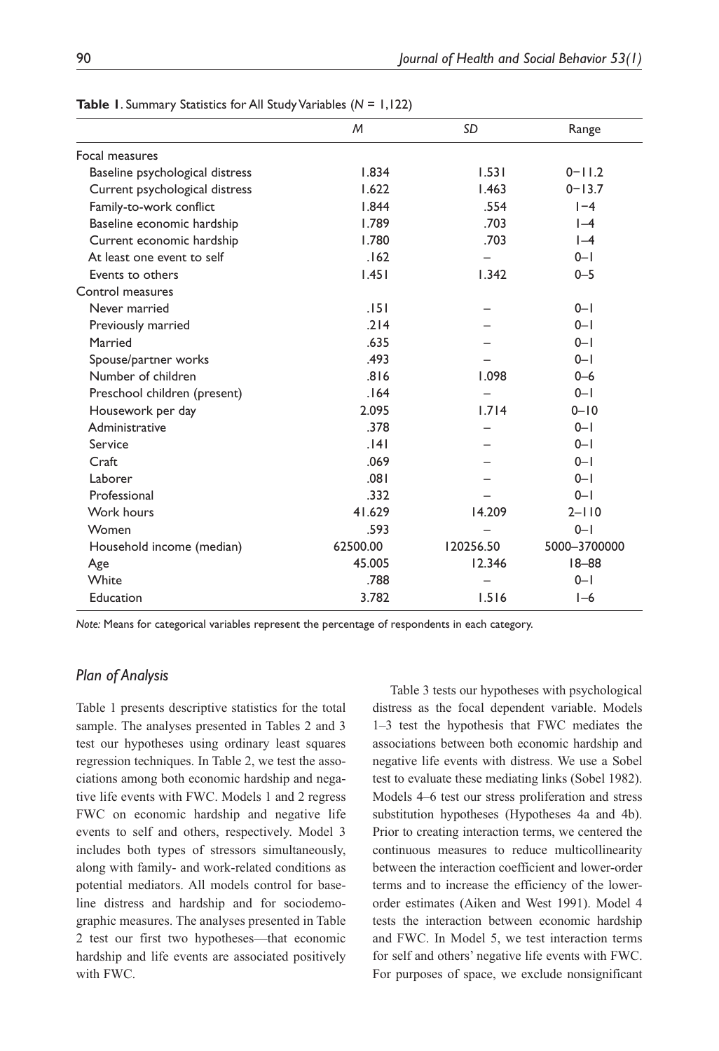|                                 | M        | SD        | Range        |  |  |
|---------------------------------|----------|-----------|--------------|--|--|
| Focal measures                  |          |           |              |  |  |
| Baseline psychological distress | 1.834    | 1.531     | $0 - 11.2$   |  |  |
| Current psychological distress  | 1.622    | 1.463     | $0 - 13.7$   |  |  |
| Family-to-work conflict         | 1.844    | .554      | $I - 4$      |  |  |
| Baseline economic hardship      | 1.789    | .703      | $I-4$        |  |  |
| Current economic hardship       | 1.780    | .703      | $I-4$        |  |  |
| At least one event to self      | .162     |           | $0 - 1$      |  |  |
| Events to others                | 1.451    | 1.342     | $0 - 5$      |  |  |
| Control measures                |          |           |              |  |  |
| Never married                   | .151     |           | $0 - 1$      |  |  |
| Previously married              | .214     |           | $0 - 1$      |  |  |
| Married                         | .635     |           | $0 - 1$      |  |  |
| Spouse/partner works            | .493     |           | $0 - 1$      |  |  |
| Number of children              | .816     | 1.098     | $0 - 6$      |  |  |
| Preschool children (present)    | .164     |           | $0 - 1$      |  |  |
| Housework per day               | 2.095    | 1.714     | $0 - 10$     |  |  |
| Administrative                  | .378     |           | $0 - 1$      |  |  |
| Service                         | .141     |           | $0 - 1$      |  |  |
| Craft                           | .069     |           | $0 - 1$      |  |  |
| Laborer                         | .081     |           | $0 - 1$      |  |  |
| Professional                    | .332     |           | $0 - 1$      |  |  |
| Work hours                      | 41.629   | 14.209    | $2 - 110$    |  |  |
| Women                           | .593     |           | $0 - 1$      |  |  |
| Household income (median)       | 62500.00 | 120256.50 | 5000-3700000 |  |  |
| Age                             | 45.005   | 12.346    | $18 - 88$    |  |  |
| White                           | .788     |           | $0 - 1$      |  |  |
| Education                       | 3.782    | 1.516     | $I-6$        |  |  |
|                                 |          |           |              |  |  |

**Table 1**. Summary Statistics for All Study Variables (*N* = 1,122)

*Note:* Means for categorical variables represent the percentage of respondents in each category.

#### *Plan of Analysis*

Table 1 presents descriptive statistics for the total sample. The analyses presented in Tables 2 and 3 test our hypotheses using ordinary least squares regression techniques. In Table 2, we test the associations among both economic hardship and negative life events with FWC. Models 1 and 2 regress FWC on economic hardship and negative life events to self and others, respectively. Model 3 includes both types of stressors simultaneously, along with family- and work-related conditions as potential mediators. All models control for baseline distress and hardship and for sociodemographic measures. The analyses presented in Table 2 test our first two hypotheses—that economic hardship and life events are associated positively with FWC.

Table 3 tests our hypotheses with psychological distress as the focal dependent variable. Models 1–3 test the hypothesis that FWC mediates the associations between both economic hardship and negative life events with distress. We use a Sobel test to evaluate these mediating links (Sobel 1982). Models 4–6 test our stress proliferation and stress substitution hypotheses (Hypotheses 4a and 4b). Prior to creating interaction terms, we centered the continuous measures to reduce multicollinearity between the interaction coefficient and lower-order terms and to increase the efficiency of the lowerorder estimates (Aiken and West 1991). Model 4 tests the interaction between economic hardship and FWC. In Model 5, we test interaction terms for self and others' negative life events with FWC. For purposes of space, we exclude nonsignificant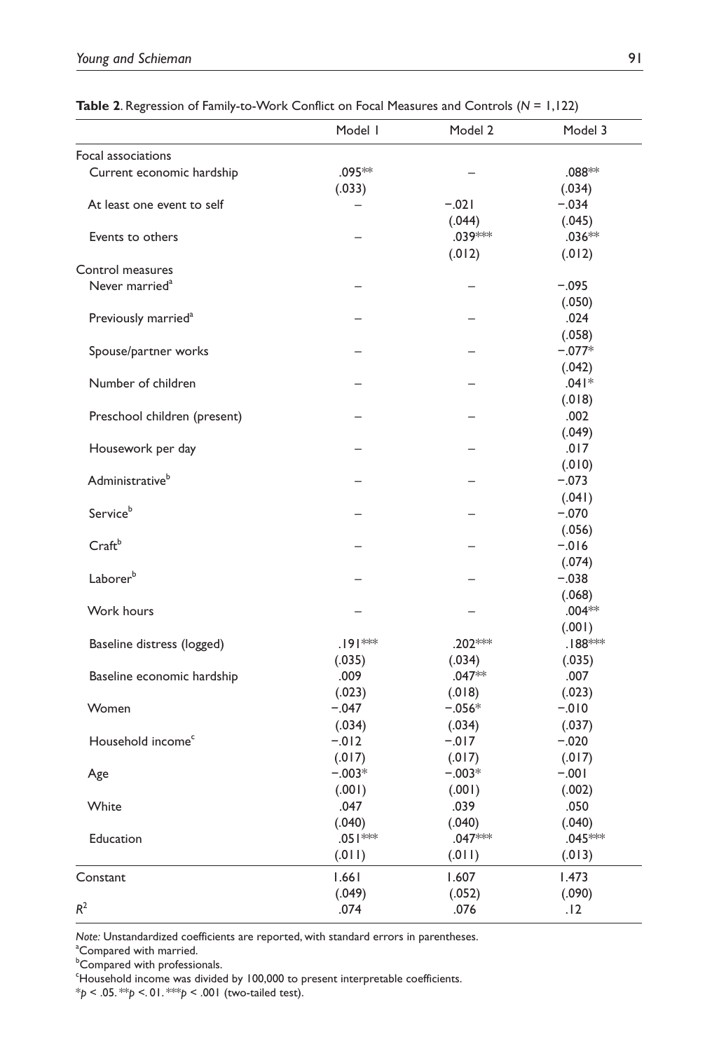|                                 | Model I            | Model 2  | Model 3   |
|---------------------------------|--------------------|----------|-----------|
| Focal associations              |                    |          |           |
| Current economic hardship       | .095 **            |          | $.088**$  |
|                                 | (.033)             |          | (.034)    |
| At least one event to self      |                    | $-.021$  | $-.034$   |
|                                 |                    | (.044)   | (.045)    |
| Events to others                |                    | .039***  | $.036**$  |
|                                 |                    | (.012)   | (.012)    |
| Control measures                |                    |          |           |
| Never married <sup>a</sup>      |                    |          | $-.095$   |
|                                 |                    |          | (.050)    |
| Previously married <sup>a</sup> |                    |          | .024      |
|                                 |                    |          | (.058)    |
| Spouse/partner works            |                    |          | $-.077*$  |
|                                 |                    |          | (.042)    |
|                                 |                    |          | $.041*$   |
| Number of children              |                    |          |           |
|                                 |                    |          | (.018)    |
| Preschool children (present)    |                    |          | .002      |
|                                 |                    |          | (.049)    |
| Housework per day               |                    |          | .017      |
|                                 |                    |          | (.010)    |
| Administrative <sup>b</sup>     |                    |          | $-.073$   |
|                                 |                    |          | (.041)    |
| Serviceb                        |                    |          | $-.070$   |
|                                 |                    |          | (.056)    |
| Craftb                          |                    |          | $-0.016$  |
|                                 |                    |          | (.074)    |
| Laborerb                        |                    |          | $-.038$   |
|                                 |                    |          | (.068)    |
| Work hours                      |                    |          | $.004**$  |
|                                 |                    |          | (.001)    |
| Baseline distress (logged)      | .191 <sup>**</sup> | .202***  | $.188$ ** |
|                                 | (.035)             | (.034)   | (.035)    |
| Baseline economic hardship      | .009               | $.047**$ | .007      |
|                                 | (.023)             | (.018)   | (.023)    |
| Women                           | $-.047$            | $-.056*$ | $-010$    |
|                                 | (.034)             | (.034)   | (.037)    |
| Household income <sup>c</sup>   | $-.012$            | $-.017$  | $-.020$   |
|                                 | (.017)             | (.017)   | (.017)    |
| Age                             | $-.003*$           | $-.003*$ | $-0.01$   |
|                                 | (.001)             | (.001)   | (.002)    |
| White                           | .047               | .039     | .050      |
|                                 | (.040)             | (.040)   | (.040)    |
| Education                       | .05   **           | .047***  | .045***   |
|                                 | (.011)             | (.011)   | (.013)    |
|                                 |                    |          |           |
| Constant                        | 1.661              | 1.607    | 1.473     |
|                                 | (.049)             | (.052)   | (.090)    |
| $R^2$                           | .074               | .076     | .12       |

**Table 2**. Regression of Family-to-Work Conflict on Focal Measures and Controls (*N* = 1,122)

*Note:* Unstandardized coefficients are reported, with standard errors in parentheses.

<sup>a</sup>Compared with married.

**Compared with professionals.** 

<sup>c</sup>Household income was divided by 100,000 to present interpretable coefficients.

\**p* < .05. \*\**p* <. 01. \*\*\**p* < .001 (two-tailed test).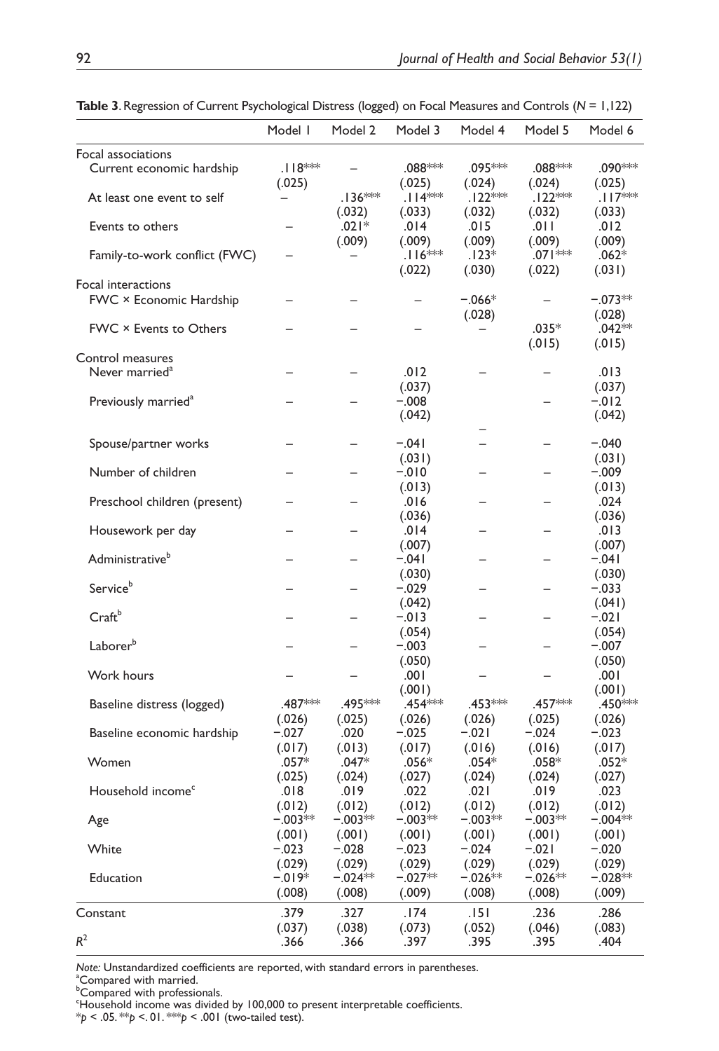|                                 | Model I             | Model 2             | Model 3             | Model 4            | Model 5                       | Model 6             |
|---------------------------------|---------------------|---------------------|---------------------|--------------------|-------------------------------|---------------------|
| Focal associations              |                     |                     |                     |                    |                               |                     |
| Current economic hardship       | $.118***$<br>(.025) |                     | .088***<br>(.025)   | .095***<br>(.024)  | .088***<br>(.024)             | .090***<br>(.025)   |
| At least one event to self      |                     | $.136***$<br>(.032) | $.114$ **<br>(.033) | .122**<br>(.032)   | .122 <sup>*</sup> *<br>(.032) | .117<br>(.033)      |
| Events to others                |                     | $.021*$<br>(.009)   | .014<br>(.009)      | .015<br>(.009)     | ا ٥١١.<br>(.009)              | .012<br>(.009)      |
| Family-to-work conflict (FWC)   |                     |                     | $.116$ **<br>(.022) | $.123*$<br>(.030)  | .071***<br>(.022)             | $.062*$<br>(.031)   |
| Focal interactions              |                     |                     |                     |                    |                               |                     |
| FWC × Economic Hardship         |                     |                     |                     | $-.066*$<br>(.028) |                               | $-.073**$<br>(.028) |
| FWC × Events to Others          |                     |                     |                     |                    | $.035*$<br>(.015)             | $.042**$<br>(.015)  |
| Control measures                |                     |                     |                     |                    |                               |                     |
| Never married <sup>a</sup>      |                     |                     | .012<br>(.037)      |                    |                               | .013<br>(.037)      |
| Previously married <sup>a</sup> |                     |                     | $-.008$             |                    |                               | $-.012$             |
|                                 |                     |                     | (.042)              |                    |                               | (.042)              |
| Spouse/partner works            |                     |                     | $-.041$             |                    |                               | $-.040$             |
|                                 |                     |                     | (.031)              |                    |                               | (.031)              |
| Number of children              |                     |                     | $-010$              |                    |                               | $-.009$             |
|                                 |                     |                     | (.013)              |                    |                               | (.013)              |
| Preschool children (present)    |                     |                     | .016                |                    | -                             | .024                |
|                                 |                     |                     | (.036)              |                    |                               | (.036)              |
| Housework per day               |                     |                     | .014                |                    |                               | .013                |
|                                 |                     |                     | (.007)              |                    |                               | (.007)              |
| Administrative <sup>b</sup>     |                     |                     | $-.041$             |                    |                               | $-.041$             |
| Service <sup>b</sup>            |                     |                     | (.030)              |                    |                               | (.030)              |
|                                 |                     |                     | $-.029$             |                    |                               | $-.033$             |
| $Craft^b$                       |                     |                     | (.042)<br>$-.013$   |                    |                               | (.041)<br>$-.021$   |
|                                 |                     |                     | (.054)              |                    |                               |                     |
| Laborer <sup>b</sup>            |                     |                     | $-.003$             |                    |                               | (.054)<br>$-.007$   |
|                                 |                     |                     | (.050)              |                    |                               | (.050)              |
| Work hours                      |                     |                     | .001                |                    |                               | .001                |
|                                 |                     |                     | (.001)              |                    |                               | (.001)              |
| Baseline distress (logged)      | .487 ***            | .495 ***            | .454***             | .453***            | .457***                       | .450***             |
|                                 | (.026)              | (.025)              | (.026)              | (.026)             | (.025)                        | (.026)              |
| Baseline economic hardship      | $-.027$             | .020                | $-.025$             | $-.021$            | $-.024$                       | $-.023$             |
|                                 | (.017)              | (.013)              | (.017)              | (.016)             | (.016)                        | (.017)              |
| Women                           | $.057*$             | $.047*$             | .056*               | $.054*$            | .058*                         | $.052*$             |
|                                 | (.025)              | (.024)              | (.027)              | (.024)             | (.024)                        | (.027)              |
| Household income <sup>c</sup>   | .018                | .019                | .022                | .021               | .019                          | .023                |
|                                 | (.012)              | (.012)              | (.012)              | (.012)             | (.012)                        | (.012)              |
| Age                             | $-.003**$           | $-.003**$           | $-.003**$           | $-.003**$          | $-.003**$                     | $-.004**$           |
|                                 | (.001)              | (.001)              | (.001)              | (.001)             | (.001)                        | (.001)              |
| White                           | $-.023$             | $-.028$             | $-.023$             | $-.024$            | $-.021$                       | $-.020$             |
|                                 | (.029)              | (.029)              | (.029)              | (.029)             | (.029)                        | (.029)              |
| Education                       | $-.019*$            | −.024**             | $-.027**$           | $-.026**$          | $-.026**$                     | $-.028**$           |
|                                 | (.008)              | (.008)              | (.009)              | (.008)             | (.008)                        | (.009)              |
| Constant                        | .379                | .327                | .174                | .151               | .236                          | .286                |
|                                 | (.037)              | (.038)              | (.073)              | (.052)             | (.046)                        | (.083)              |
| $R^2$                           | .366                | .366                | .397                | .395               | .395                          | .404                |

**Table 3**. Regression of Current Psychological Distress (logged) on Focal Measures and Controls (*N* = 1,122)

*Note:* Unstandardized coefficients are reported, with standard errors in parentheses. <sup>a</sup>Compared with married.

**Compared with professionals.** 

<sup>c</sup>Household income was divided by 100,000 to present interpretable coefficients. \**p* < .05. \*\**p* <. 01. \*\*\**p* < .001 (two-tailed test).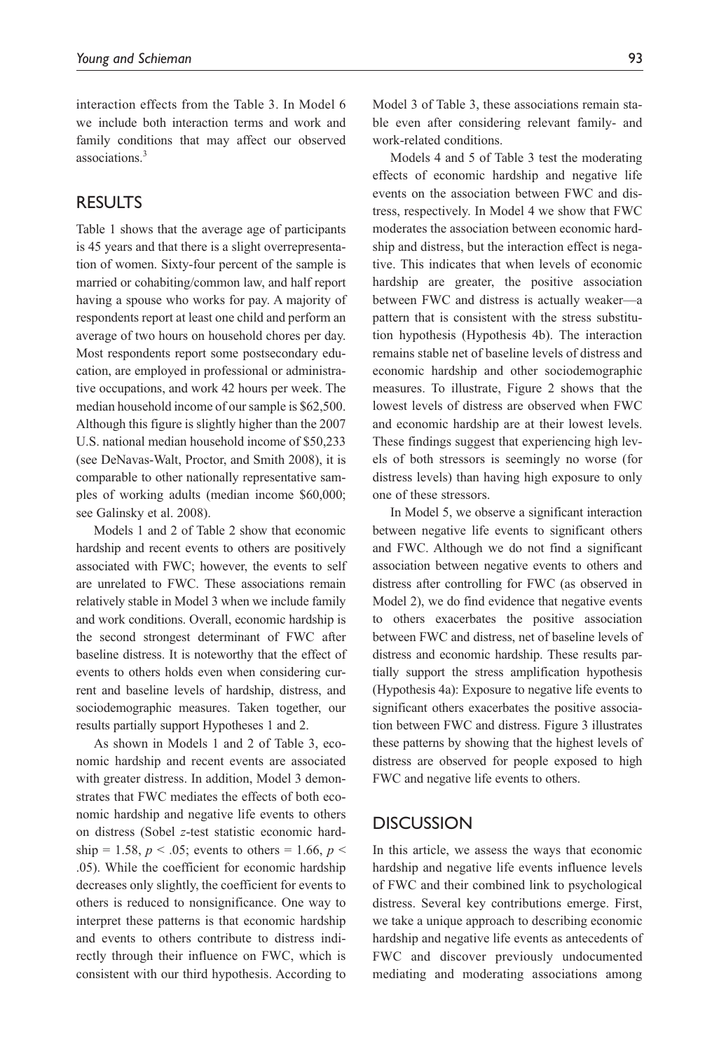interaction effects from the Table 3. In Model 6 we include both interaction terms and work and family conditions that may affect our observed associations.<sup>3</sup>

# **RESULTS**

Table 1 shows that the average age of participants is 45 years and that there is a slight overrepresentation of women. Sixty-four percent of the sample is married or cohabiting/common law, and half report having a spouse who works for pay. A majority of respondents report at least one child and perform an average of two hours on household chores per day. Most respondents report some postsecondary education, are employed in professional or administrative occupations, and work 42 hours per week. The median household income of our sample is \$62,500. Although this figure is slightly higher than the 2007 U.S. national median household income of \$50,233 (see DeNavas-Walt, Proctor, and Smith 2008), it is comparable to other nationally representative samples of working adults (median income \$60,000; see Galinsky et al. 2008).

Models 1 and 2 of Table 2 show that economic hardship and recent events to others are positively associated with FWC; however, the events to self are unrelated to FWC. These associations remain relatively stable in Model 3 when we include family and work conditions. Overall, economic hardship is the second strongest determinant of FWC after baseline distress. It is noteworthy that the effect of events to others holds even when considering current and baseline levels of hardship, distress, and sociodemographic measures. Taken together, our results partially support Hypotheses 1 and 2.

As shown in Models 1 and 2 of Table 3, economic hardship and recent events are associated with greater distress. In addition, Model 3 demonstrates that FWC mediates the effects of both economic hardship and negative life events to others on distress (Sobel *z*-test statistic economic hardship = 1.58,  $p < .05$ ; events to others = 1.66,  $p <$ .05). While the coefficient for economic hardship decreases only slightly, the coefficient for events to others is reduced to nonsignificance. One way to interpret these patterns is that economic hardship and events to others contribute to distress indirectly through their influence on FWC, which is consistent with our third hypothesis. According to Model 3 of Table 3, these associations remain stable even after considering relevant family- and work-related conditions.

Models 4 and 5 of Table 3 test the moderating effects of economic hardship and negative life events on the association between FWC and distress, respectively. In Model 4 we show that FWC moderates the association between economic hardship and distress, but the interaction effect is negative. This indicates that when levels of economic hardship are greater, the positive association between FWC and distress is actually weaker—a pattern that is consistent with the stress substitution hypothesis (Hypothesis 4b). The interaction remains stable net of baseline levels of distress and economic hardship and other sociodemographic measures. To illustrate, Figure 2 shows that the lowest levels of distress are observed when FWC and economic hardship are at their lowest levels. These findings suggest that experiencing high levels of both stressors is seemingly no worse (for distress levels) than having high exposure to only one of these stressors.

In Model 5, we observe a significant interaction between negative life events to significant others and FWC. Although we do not find a significant association between negative events to others and distress after controlling for FWC (as observed in Model 2), we do find evidence that negative events to others exacerbates the positive association between FWC and distress, net of baseline levels of distress and economic hardship. These results partially support the stress amplification hypothesis (Hypothesis 4a): Exposure to negative life events to significant others exacerbates the positive association between FWC and distress. Figure 3 illustrates these patterns by showing that the highest levels of distress are observed for people exposed to high FWC and negative life events to others.

# **DISCUSSION**

In this article, we assess the ways that economic hardship and negative life events influence levels of FWC and their combined link to psychological distress. Several key contributions emerge. First, we take a unique approach to describing economic hardship and negative life events as antecedents of FWC and discover previously undocumented mediating and moderating associations among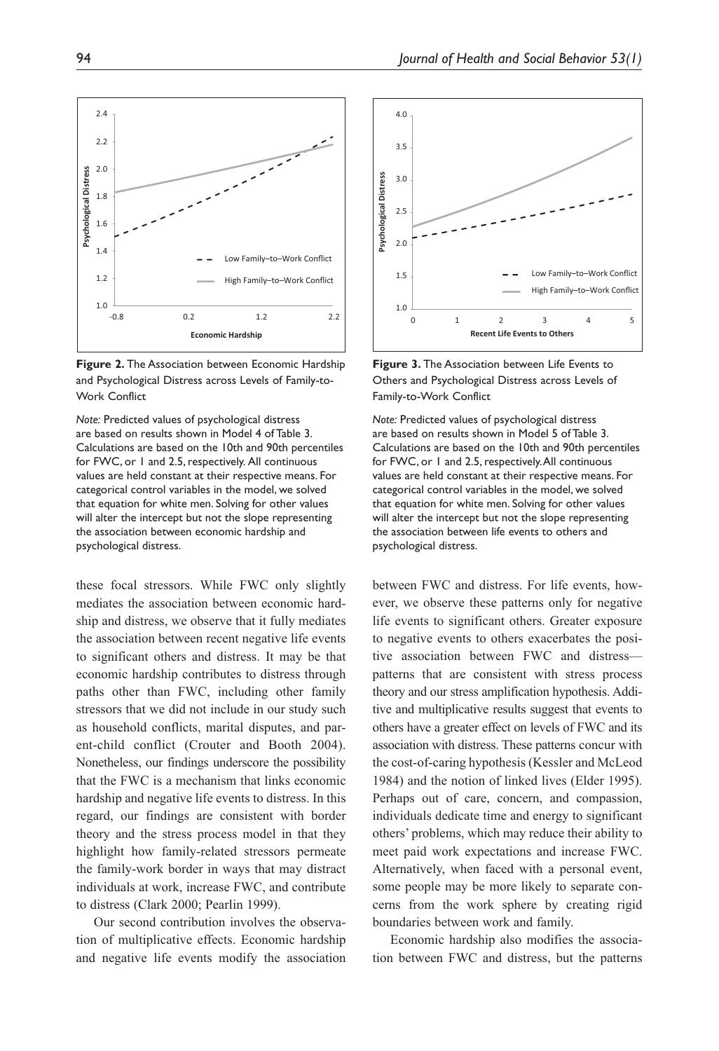**Figure 2.** The Association between Economic Hardship and Psychological Distress across Levels of Family-to-Work Conflict

*Note:* Predicted values of psychological distress are based on results shown in Model 4 of Table 3. Calculations are based on the 10th and 90th percentiles for FWC, or 1 and 2.5, respectively. All continuous values are held constant at their respective means. For categorical control variables in the model, we solved that equation for white men. Solving for other values will alter the intercept but not the slope representing the association between economic hardship and psychological distress.

these focal stressors. While FWC only slightly mediates the association between economic hardship and distress, we observe that it fully mediates the association between recent negative life events to significant others and distress. It may be that economic hardship contributes to distress through paths other than FWC, including other family stressors that we did not include in our study such as household conflicts, marital disputes, and parent-child conflict (Crouter and Booth 2004). Nonetheless, our findings underscore the possibility that the FWC is a mechanism that links economic hardship and negative life events to distress. In this regard, our findings are consistent with border theory and the stress process model in that they highlight how family-related stressors permeate the family-work border in ways that may distract individuals at work, increase FWC, and contribute to distress (Clark 2000; Pearlin 1999).

Our second contribution involves the observation of multiplicative effects. Economic hardship and negative life events modify the association



**Recent Life Events to Others**

0 1 2 3 4 5

Low Family–to–Work Conflict High Family-to-Work Conflict

1.0

1.5

 $2.0$ 

2.5

**Psychological Distress**

Psychological Distress

3.0

3.5

4.0

*Note:* Predicted values of psychological distress are based on results shown in Model 5 of Table 3. Calculations are based on the 10th and 90th percentiles for FWC, or 1 and 2.5, respectively. All continuous values are held constant at their respective means. For categorical control variables in the model, we solved that equation for white men. Solving for other values will alter the intercept but not the slope representing the association between life events to others and psychological distress.

between FWC and distress. For life events, however, we observe these patterns only for negative life events to significant others. Greater exposure to negative events to others exacerbates the positive association between FWC and distress patterns that are consistent with stress process theory and our stress amplification hypothesis. Additive and multiplicative results suggest that events to others have a greater effect on levels of FWC and its association with distress. These patterns concur with the cost-of-caring hypothesis (Kessler and McLeod 1984) and the notion of linked lives (Elder 1995). Perhaps out of care, concern, and compassion, individuals dedicate time and energy to significant others' problems, which may reduce their ability to meet paid work expectations and increase FWC. Alternatively, when faced with a personal event, some people may be more likely to separate concerns from the work sphere by creating rigid boundaries between work and family.

Economic hardship also modifies the association between FWC and distress, but the patterns

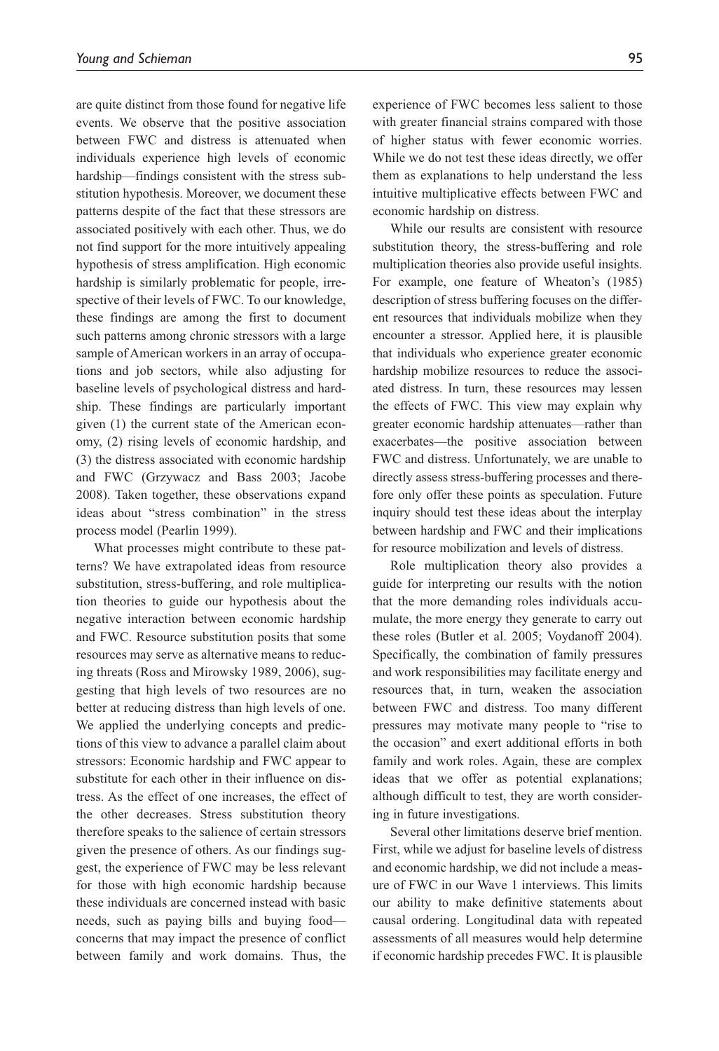are quite distinct from those found for negative life events. We observe that the positive association between FWC and distress is attenuated when individuals experience high levels of economic hardship—findings consistent with the stress substitution hypothesis. Moreover, we document these patterns despite of the fact that these stressors are associated positively with each other. Thus, we do not find support for the more intuitively appealing hypothesis of stress amplification. High economic hardship is similarly problematic for people, irrespective of their levels of FWC. To our knowledge, these findings are among the first to document such patterns among chronic stressors with a large sample of American workers in an array of occupations and job sectors, while also adjusting for baseline levels of psychological distress and hardship. These findings are particularly important given (1) the current state of the American economy, (2) rising levels of economic hardship, and (3) the distress associated with economic hardship and FWC (Grzywacz and Bass 2003; Jacobe 2008). Taken together, these observations expand ideas about "stress combination" in the stress process model (Pearlin 1999).

What processes might contribute to these patterns? We have extrapolated ideas from resource substitution, stress-buffering, and role multiplication theories to guide our hypothesis about the negative interaction between economic hardship and FWC. Resource substitution posits that some resources may serve as alternative means to reducing threats (Ross and Mirowsky 1989, 2006), suggesting that high levels of two resources are no better at reducing distress than high levels of one. We applied the underlying concepts and predictions of this view to advance a parallel claim about stressors: Economic hardship and FWC appear to substitute for each other in their influence on distress. As the effect of one increases, the effect of the other decreases. Stress substitution theory therefore speaks to the salience of certain stressors given the presence of others. As our findings suggest, the experience of FWC may be less relevant for those with high economic hardship because these individuals are concerned instead with basic needs, such as paying bills and buying food concerns that may impact the presence of conflict between family and work domains. Thus, the

experience of FWC becomes less salient to those with greater financial strains compared with those of higher status with fewer economic worries. While we do not test these ideas directly, we offer them as explanations to help understand the less intuitive multiplicative effects between FWC and economic hardship on distress.

While our results are consistent with resource substitution theory, the stress-buffering and role multiplication theories also provide useful insights. For example, one feature of Wheaton's (1985) description of stress buffering focuses on the different resources that individuals mobilize when they encounter a stressor. Applied here, it is plausible that individuals who experience greater economic hardship mobilize resources to reduce the associated distress. In turn, these resources may lessen the effects of FWC. This view may explain why greater economic hardship attenuates—rather than exacerbates—the positive association between FWC and distress. Unfortunately, we are unable to directly assess stress-buffering processes and therefore only offer these points as speculation. Future inquiry should test these ideas about the interplay between hardship and FWC and their implications for resource mobilization and levels of distress.

Role multiplication theory also provides a guide for interpreting our results with the notion that the more demanding roles individuals accumulate, the more energy they generate to carry out these roles (Butler et al. 2005; Voydanoff 2004). Specifically, the combination of family pressures and work responsibilities may facilitate energy and resources that, in turn, weaken the association between FWC and distress. Too many different pressures may motivate many people to "rise to the occasion" and exert additional efforts in both family and work roles. Again, these are complex ideas that we offer as potential explanations; although difficult to test, they are worth considering in future investigations.

Several other limitations deserve brief mention. First, while we adjust for baseline levels of distress and economic hardship, we did not include a measure of FWC in our Wave 1 interviews. This limits our ability to make definitive statements about causal ordering. Longitudinal data with repeated assessments of all measures would help determine if economic hardship precedes FWC. It is plausible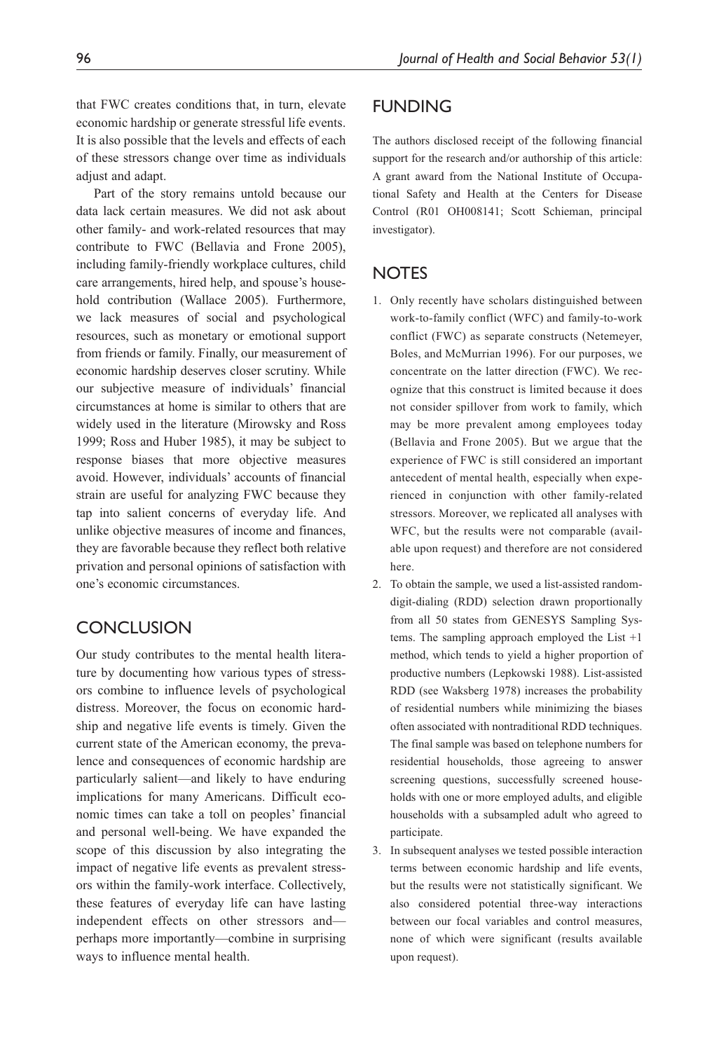that FWC creates conditions that, in turn, elevate economic hardship or generate stressful life events. It is also possible that the levels and effects of each of these stressors change over time as individuals adjust and adapt.

Part of the story remains untold because our data lack certain measures. We did not ask about other family- and work-related resources that may contribute to FWC (Bellavia and Frone 2005), including family-friendly workplace cultures, child care arrangements, hired help, and spouse's household contribution (Wallace 2005). Furthermore, we lack measures of social and psychological resources, such as monetary or emotional support from friends or family. Finally, our measurement of economic hardship deserves closer scrutiny. While our subjective measure of individuals' financial circumstances at home is similar to others that are widely used in the literature (Mirowsky and Ross 1999; Ross and Huber 1985), it may be subject to response biases that more objective measures avoid. However, individuals' accounts of financial strain are useful for analyzing FWC because they tap into salient concerns of everyday life. And unlike objective measures of income and finances, they are favorable because they reflect both relative privation and personal opinions of satisfaction with one's economic circumstances.

# **CONCLUSION**

Our study contributes to the mental health literature by documenting how various types of stressors combine to influence levels of psychological distress. Moreover, the focus on economic hardship and negative life events is timely. Given the current state of the American economy, the prevalence and consequences of economic hardship are particularly salient—and likely to have enduring implications for many Americans. Difficult economic times can take a toll on peoples' financial and personal well-being. We have expanded the scope of this discussion by also integrating the impact of negative life events as prevalent stressors within the family-work interface. Collectively, these features of everyday life can have lasting independent effects on other stressors and perhaps more importantly—combine in surprising ways to influence mental health.

# **FUNDING**

The authors disclosed receipt of the following financial support for the research and/or authorship of this article: A grant award from the National Institute of Occupational Safety and Health at the Centers for Disease Control (R01 OH008141; Scott Schieman, principal investigator).

### **NOTES**

- 1. Only recently have scholars distinguished between work-to-family conflict (WFC) and family-to-work conflict (FWC) as separate constructs (Netemeyer, Boles, and McMurrian 1996). For our purposes, we concentrate on the latter direction (FWC). We recognize that this construct is limited because it does not consider spillover from work to family, which may be more prevalent among employees today (Bellavia and Frone 2005). But we argue that the experience of FWC is still considered an important antecedent of mental health, especially when experienced in conjunction with other family-related stressors. Moreover, we replicated all analyses with WFC, but the results were not comparable (available upon request) and therefore are not considered here.
- 2. To obtain the sample, we used a list-assisted randomdigit-dialing (RDD) selection drawn proportionally from all 50 states from GENESYS Sampling Systems. The sampling approach employed the List +1 method, which tends to yield a higher proportion of productive numbers (Lepkowski 1988). List-assisted RDD (see Waksberg 1978) increases the probability of residential numbers while minimizing the biases often associated with nontraditional RDD techniques. The final sample was based on telephone numbers for residential households, those agreeing to answer screening questions, successfully screened households with one or more employed adults, and eligible households with a subsampled adult who agreed to participate.
- 3. In subsequent analyses we tested possible interaction terms between economic hardship and life events, but the results were not statistically significant. We also considered potential three-way interactions between our focal variables and control measures, none of which were significant (results available upon request).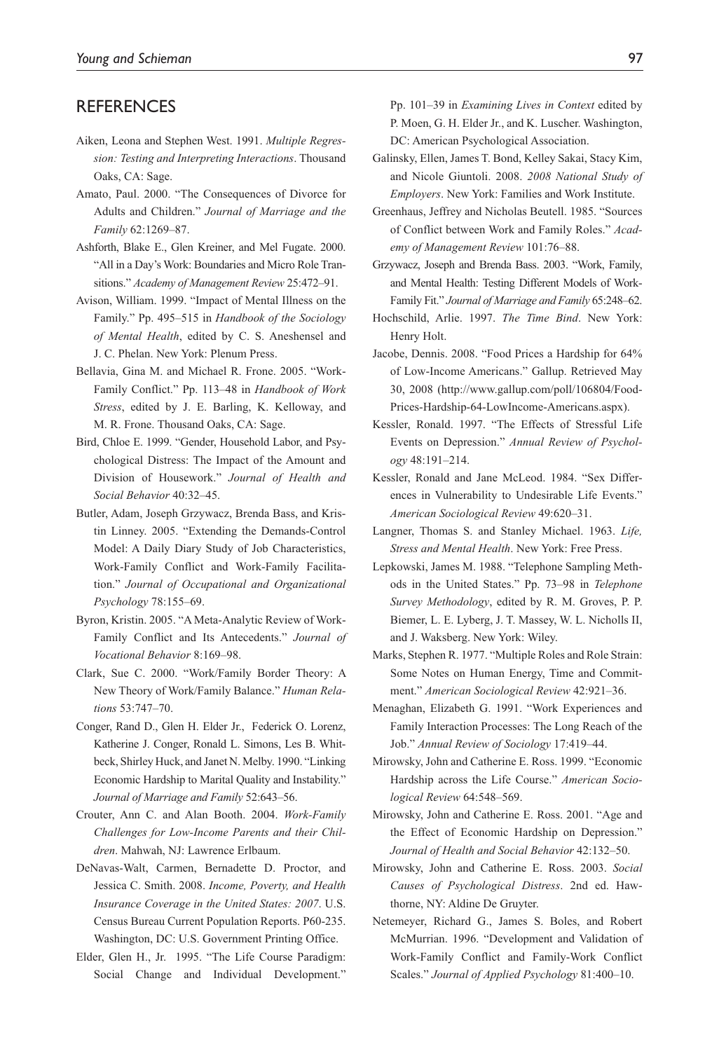# **REFERENCES**

- Aiken, Leona and Stephen West. 1991. *Multiple Regression: Testing and Interpreting Interactions*. Thousand Oaks, CA: Sage.
- Amato, Paul. 2000. "The Consequences of Divorce for Adults and Children." *Journal of Marriage and the Family* 62:1269–87.
- Ashforth, Blake E., Glen Kreiner, and Mel Fugate. 2000. "All in a Day's Work: Boundaries and Micro Role Transitions." *Academy of Management Review* 25:472–91.
- Avison, William. 1999. "Impact of Mental Illness on the Family." Pp. 495–515 in *Handbook of the Sociology of Mental Health*, edited by C. S. Aneshensel and J. C. Phelan. New York: Plenum Press.
- Bellavia, Gina M. and Michael R. Frone. 2005. "Work-Family Conflict." Pp. 113–48 in *Handbook of Work Stress*, edited by J. E. Barling, K. Kelloway, and M. R. Frone. Thousand Oaks, CA: Sage.
- Bird, Chloe E. 1999. "Gender, Household Labor, and Psychological Distress: The Impact of the Amount and Division of Housework." *Journal of Health and Social Behavior* 40:32–45.
- Butler, Adam, Joseph Grzywacz, Brenda Bass, and Kristin Linney. 2005. "Extending the Demands-Control Model: A Daily Diary Study of Job Characteristics, Work-Family Conflict and Work-Family Facilitation." *Journal of Occupational and Organizational Psychology* 78:155–69.
- Byron, Kristin. 2005. "A Meta-Analytic Review of Work-Family Conflict and Its Antecedents." *Journal of Vocational Behavior* 8:169–98.
- Clark, Sue C. 2000. "Work/Family Border Theory: A New Theory of Work/Family Balance." *Human Relations* 53:747–70.
- Conger, Rand D., Glen H. Elder Jr., Federick O. Lorenz, Katherine J. Conger, Ronald L. Simons, Les B. Whitbeck, Shirley Huck, and Janet N. Melby. 1990. "Linking Economic Hardship to Marital Quality and Instability." *Journal of Marriage and Family* 52:643–56.
- Crouter, Ann C. and Alan Booth. 2004. *Work-Family Challenges for Low-Income Parents and their Children*. Mahwah, NJ: Lawrence Erlbaum.
- DeNavas-Walt, Carmen, Bernadette D. Proctor, and Jessica C. Smith. 2008. *Income, Poverty, and Health Insurance Coverage in the United States: 2007*. U.S. Census Bureau Current Population Reports. P60-235. Washington, DC: U.S. Government Printing Office.
- Elder, Glen H., Jr. 1995. "The Life Course Paradigm: Social Change and Individual Development."

Pp. 101–39 in *Examining Lives in Context* edited by P. Moen, G. H. Elder Jr., and K. Luscher. Washington, DC: American Psychological Association.

- Galinsky, Ellen, James T. Bond, Kelley Sakai, Stacy Kim, and Nicole Giuntoli. 2008. *2008 National Study of Employers*. New York: Families and Work Institute.
- Greenhaus, Jeffrey and Nicholas Beutell. 1985. "Sources of Conflict between Work and Family Roles." *Academy of Management Review* 101:76–88.
- Grzywacz, Joseph and Brenda Bass. 2003. "Work, Family, and Mental Health: Testing Different Models of Work-Family Fit." *Journal of Marriage and Family* 65:248–62.
- Hochschild, Arlie. 1997. *The Time Bind*. New York: Henry Holt.
- Jacobe, Dennis. 2008. "Food Prices a Hardship for 64% of Low-Income Americans." Gallup. Retrieved May 30, 2008 (http://www.gallup.com/poll/106804/Food-Prices-Hardship-64-LowIncome-Americans.aspx).
- Kessler, Ronald. 1997. "The Effects of Stressful Life Events on Depression." *Annual Review of Psychology* 48:191–214.
- Kessler, Ronald and Jane McLeod. 1984. "Sex Differences in Vulnerability to Undesirable Life Events." *American Sociological Review* 49:620–31.
- Langner, Thomas S. and Stanley Michael. 1963. *Life, Stress and Mental Health*. New York: Free Press.
- Lepkowski, James M. 1988. "Telephone Sampling Methods in the United States." Pp. 73–98 in *Telephone Survey Methodology*, edited by R. M. Groves, P. P. Biemer, L. E. Lyberg, J. T. Massey, W. L. Nicholls II, and J. Waksberg. New York: Wiley.
- Marks, Stephen R. 1977. "Multiple Roles and Role Strain: Some Notes on Human Energy, Time and Commitment." *American Sociological Review* 42:921–36.
- Menaghan, Elizabeth G. 1991. "Work Experiences and Family Interaction Processes: The Long Reach of the Job." *Annual Review of Sociology* 17:419–44.
- Mirowsky, John and Catherine E. Ross. 1999. "Economic Hardship across the Life Course." *American Sociological Review* 64:548–569.
- Mirowsky, John and Catherine E. Ross. 2001. "Age and the Effect of Economic Hardship on Depression." *Journal of Health and Social Behavior* 42:132–50.
- Mirowsky, John and Catherine E. Ross. 2003. *Social Causes of Psychological Distress*. 2nd ed. Hawthorne, NY: Aldine De Gruyter.
- Netemeyer, Richard G., James S. Boles, and Robert McMurrian. 1996. "Development and Validation of Work-Family Conflict and Family-Work Conflict Scales." *Journal of Applied Psychology* 81:400–10.